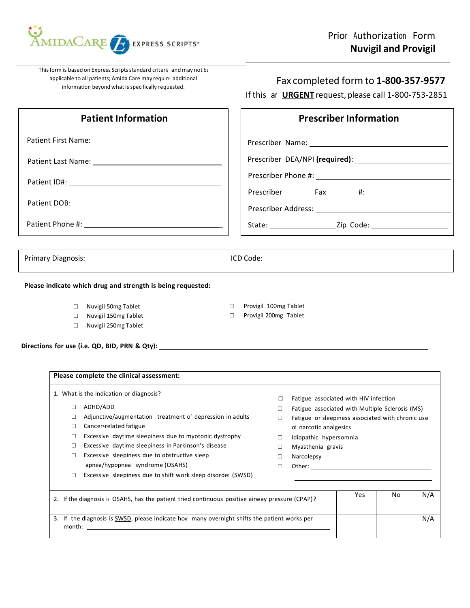

This form is based on Express Scripts standard criteria and may not be applicable to all patients; Amida Care may require additional information beyond what is specifically requested.

## Fax completed form to 1-800-357-9577

If this an **URGENT** request, please call 1-800-753-2851

| <b>Patient Information</b>                                                                                       | <b>Prescriber Information</b>                                                                                                            |
|------------------------------------------------------------------------------------------------------------------|------------------------------------------------------------------------------------------------------------------------------------------|
|                                                                                                                  |                                                                                                                                          |
|                                                                                                                  |                                                                                                                                          |
|                                                                                                                  | Prescriber Fax<br>#:                                                                                                                     |
|                                                                                                                  |                                                                                                                                          |
|                                                                                                                  |                                                                                                                                          |
|                                                                                                                  |                                                                                                                                          |
|                                                                                                                  |                                                                                                                                          |
| Please indicate which drug and strength is being requested:                                                      |                                                                                                                                          |
| Nuvigil 50mg Tablet<br>$\Box$                                                                                    | Provigil 100mg Tablet<br>$\Box$                                                                                                          |
| Nuvigil 150mg Tablet<br>$\Box$<br>Nuvigil 250mg Tablet<br>П.                                                     | Provigil 200mg Tablet<br>$\Box$                                                                                                          |
|                                                                                                                  |                                                                                                                                          |
| Please complete the clinical assessment:                                                                         |                                                                                                                                          |
| 1. What is the indication or diagnosis?                                                                          | Fatigue associated with HIV infection<br>$\Box$                                                                                          |
| $\Box$ ADHD/ADD<br>Adjunctive/augmentation treatment of depression in adults<br>П<br>Cancer-related fatigue<br>П | Fatigue associated with Multiple Sclerosis (MS)<br>п<br>Fatigue or sleepiness associated with chronic use<br>п<br>of narcotic analgesics |
| Excessive daytime sleepiness due to myotonic dystrophy<br>$\Box$                                                 | Idiopathic hypersomnia<br>$\Box$                                                                                                         |

- □ Excessive daytime sleepiness in Parkinson's disease □ D Myasthenia gravis
- □ Excessive sleepiness due to obstructive sleep □ Narcolepsy apnea/hypopnea syndrome (OSAHS) □ Other: <u>●</u>
- □ Excessive sleepiness due to shift work sleep disorder (SWSD)
- 
- 
- 
- 

| 2. If the diagnosis is OSAHS, has the patient tried continuous positive airway pressure (CPAP)?        | Yes | No | N/A |
|--------------------------------------------------------------------------------------------------------|-----|----|-----|
| 3. If the diagnosis is SWSD, please indicate how many overnight shifts the patient works per<br>month: |     |    | N/A |